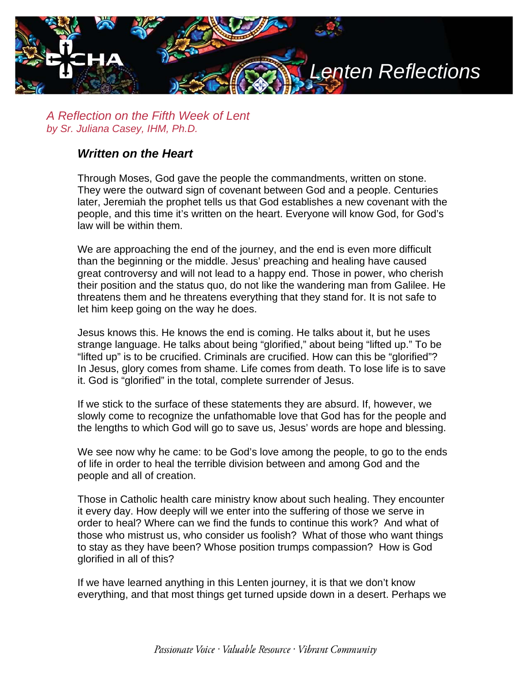

*A Reflection on the Fifth Week of Lent by Sr. Juliana Casey, IHM, Ph.D.*

## *Written on the Heart*

Through Moses, God gave the people the commandments, written on stone. They were the outward sign of covenant between God and a people. Centuries later, Jeremiah the prophet tells us that God establishes a new covenant with the people, and this time it's written on the heart. Everyone will know God, for God's law will be within them.

We are approaching the end of the journey, and the end is even more difficult than the beginning or the middle. Jesus' preaching and healing have caused great controversy and will not lead to a happy end. Those in power, who cherish their position and the status quo, do not like the wandering man from Galilee. He threatens them and he threatens everything that they stand for. It is not safe to let him keep going on the way he does.

Jesus knows this. He knows the end is coming. He talks about it, but he uses strange language. He talks about being "glorified," about being "lifted up." To be "lifted up" is to be crucified. Criminals are crucified. How can this be "glorified"? In Jesus, glory comes from shame. Life comes from death. To lose life is to save it. God is "glorified" in the total, complete surrender of Jesus.

If we stick to the surface of these statements they are absurd. If, however, we slowly come to recognize the unfathomable love that God has for the people and the lengths to which God will go to save us, Jesus' words are hope and blessing.

We see now why he came: to be God's love among the people, to go to the ends of life in order to heal the terrible division between and among God and the people and all of creation.

Those in Catholic health care ministry know about such healing. They encounter it every day. How deeply will we enter into the suffering of those we serve in order to heal? Where can we find the funds to continue this work? And what of those who mistrust us, who consider us foolish? What of those who want things to stay as they have been? Whose position trumps compassion? How is God glorified in all of this?

If we have learned anything in this Lenten journey, it is that we don't know everything, and that most things get turned upside down in a desert. Perhaps we